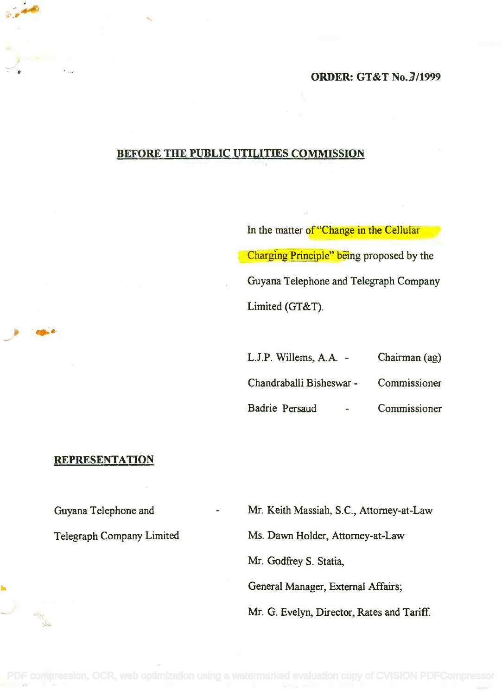## ORDER: GT&T No.3/1999

# BEFORE THE PUBLIC UTILITIES COMMISSION

In the matter of "Change in the Cellular Charging Principle" being proposed by the Guyana Telephone and Telegraph Company Limited (GT&T).

| L.J.P. Willems, A.A. -   |  | Chairman (ag) |
|--------------------------|--|---------------|
| Chandraballi Bisheswar - |  | Commissioner  |
| Badrie Persaud           |  | Commissioner  |

#### REPRESENTATION

Guyana Telephone and

Telegraph Company Limited

Mr. Keith Massiah, S.C., Attorney-at-Law

Ms. Dawn Holder, Attorney-at-Law

Mr. Godfrey S. Statia,

General Manager, External Affairs;

Mr. G. Evelyn, Director, Rates and Tariff.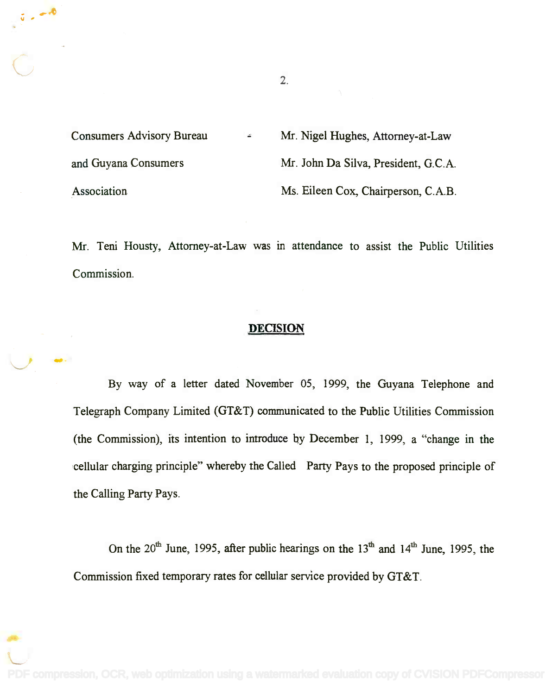Consumers Advisory Bureau Mr. Nigel Hughes, Attorney-at-Law and Guyana Consumers Mr. John Da Silva, President, G.C.A. Association Ms. Eileen Cox, Chairperson, C.A.B.

Mr. Teni Housty, Attorney-at-Law was in attendance to assist the Public Utilities Commission.

## **DECISION**

By way of a letter dated November 05, 1999, the Guyana Telephone and Telegraph Company Limited (GT&T) communicated to the Public Utilities Commission (the Commission), its intention to introduce by December 1, 1999, a "change in the cellular charging principle" whereby the Called Party Pays to the proposed principle of the Calling Party Pays.

On the  $20<sup>th</sup>$  June, 1995, after public hearings on the  $13<sup>th</sup>$  and  $14<sup>th</sup>$  June, 1995, the Commission fixed temporary rates for cellular service provided by GT&T.

2.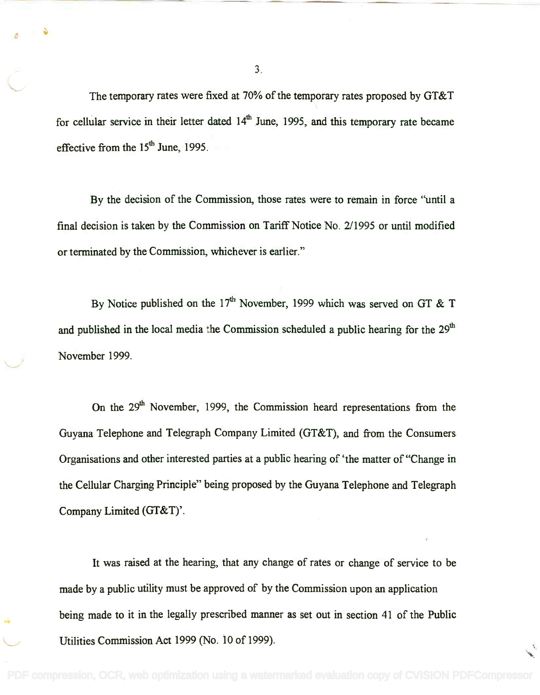The temporary rates were fixed at 70% of the temporary rates proposed by GT&T for cellular service in their letter dated  $14<sup>th</sup>$  June, 1995, and this temporary rate became effective from the  $15<sup>th</sup>$  June, 1995.

By the decision of the Commission, those rates were to remain in force "until a final decision is taken by the Commission on Tariff Notice No. 2/1995 or until modified or terminated by the Commission, whichever is earlier."

By Notice published on the 17<sup>th</sup> November, 1999 which was served on GT & T and published in the local media the Commission scheduled a public hearing for the 29<sup>th</sup> November 1999.

On the 29<sup>th</sup> November, 1999, the Commission heard representations from the Guyana Telephone and Telegraph Company Limited (GT&T), and from the Consumers Organisations and other interested parties at a public hearing of 'the matter of "Change in the Cellular Charging Principle" being proposed by the Guyana Telephone and Telegraph Company Limited  $(GT&T)$ .

It was raised at the hearing, that any change of rates or change of service to be made by a public utility must be approved of by the Commission upon an application being made to it in the legally prescribed manner as set out in section 41 of the Public Utilities Commission Act 1999 (No. 10 of 1999).

3.

 $\sim$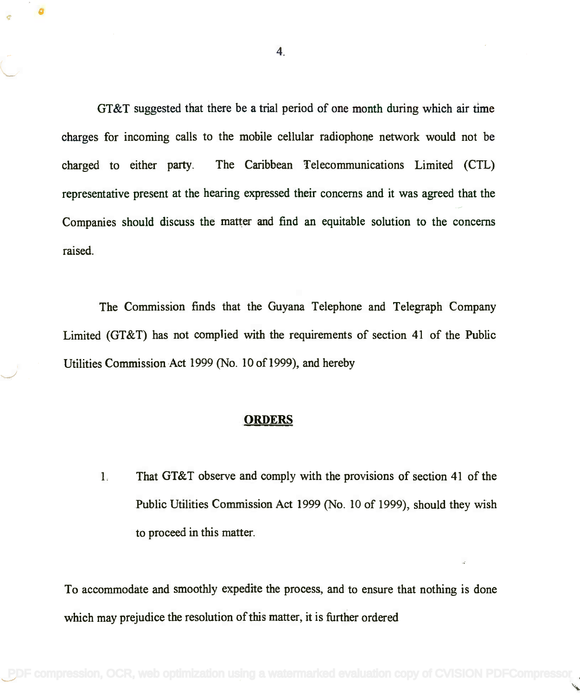GT&T suggested that there be a trial period of one month during which air time GT&T suggested that there be a trial period of one month during which air time charges for incoming calls to the mobile cellular radiophone network would not be charges for incoming calls to the mobile cellular radiophone network would not be charged to either party. The Caribbean Telecommunications Limited (CU) charged to either party. The Caribbean Telecommunications Limited (CTL) representative present at the hearing expressed their concerns and it was agreed that the representative present at the hearing expressed their concerns and it was agreed that the Companies should discuss the matter and find an equitable solution to the concerns Companies should discuss the matter and find an equitable solution to the concerns raised. raised.

The Commission finds that the Guyana Telephone and Telegraph Company The Commission finds that the Guyana Telephone and Telegraph Company Limited  $(GT&T)$  has not complied with the requirements of section 41 of the Public Utilities Commission Act 1999 (No. 10 of 1999), and hereby Utilities Commission Act 1999 (No. 10 of 1999), and hereby

#### **ORDERS**

1. That GT&T observe and comply with the provisions of section 41 of the 1. That GT&T observe and comply with the provisions of section 41 of the Public Utilities Commission Act 1999 (No. 10 of 1999), should they wish Public Utilities Commission Act 1999 (No. 10 of 1999), should they wish to proceed in this matter. to proceed in this matter.

To accommodate and smoothly expedite the process, and to ensure that nothing is done To accommodate and smoothly expedite the process, and to ensure that nothing is done which may prejudice the resolution of this matter, it is further ordered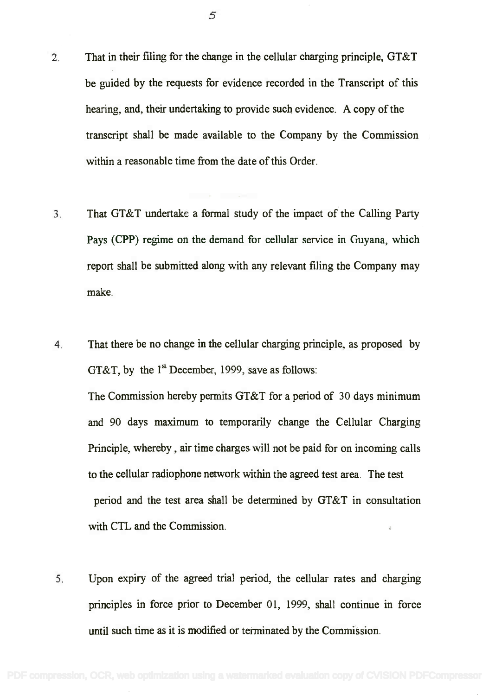- 2. That in their filing for the change in the cellular charging principle, GT&T 2. That in their filing for the change in the cellular charging principle, GT&T be guided by the requests for evidence recorded in the Transcript of this be guided by the requests for evidence recorded in the Transcript of this hearing, and, their undertaking to provide such evidence. A copy of the hearing, and, their undertaking to provide such evidence. A copy of the transcript shall be made available to the Company by the Commission transcript shall be made available to the Company by the Commission within a reasonable time from the date of this Order. within a reasonable time from the date of this Order.
- 3. That GT&T undertake a formal study of the impact of the Calling Party 3. That GT&T undertake a fonnal study of the impact of the Calling Party Pays (CPP) regime on the demand for cellular service in Guyana, which Pays (CPP) regime on the demand for cellular service in Guyana, which report shall be submitted along with any relevant filing the Company may report shall be submitted along with any relevant filing the Company may make. make.
- 4. That there be no change in the cellular charging principle, as proposed by 4. That there be no change in the cellular charging principle, as proposed by GT&T, by the  $1^{\text{st}}$  December, 1999, save as follows:

The Commission hereby permits GT&T for a period of 30 days minimum The Commission hereby pennits GT&T for a period of 30 days minimum and 90 days maximum to temporarily change the Cellular Charging and 90 days maximum to temporarily change the Cellular Charging Principle, whereby , air time charges will not be paid for on incoming calls Principle, whereby, air time charges will not be paid for on incoming calls to the cellular radiophone network within the agreed test area. The test to the cellular radiophone network within the agreed test area. The test period and the test area shall be determined by GT&T in consultation period and the test area shall be determined by GT&T in consultation with CTL and the Commission. with CTL and the Commission.

5. Upon expiry of the agreed trial period, the cellular rates and charging 5. Upon expiry of the agreed trial period, the cellular rates and charging principles in force prior to December 01, 1999, shall continue in force principles in force prior to December 01, 1999, shall continue in force until such time as it is modified or terminated by the Commission. until such time as it is modified or terminated by the Commission.

5